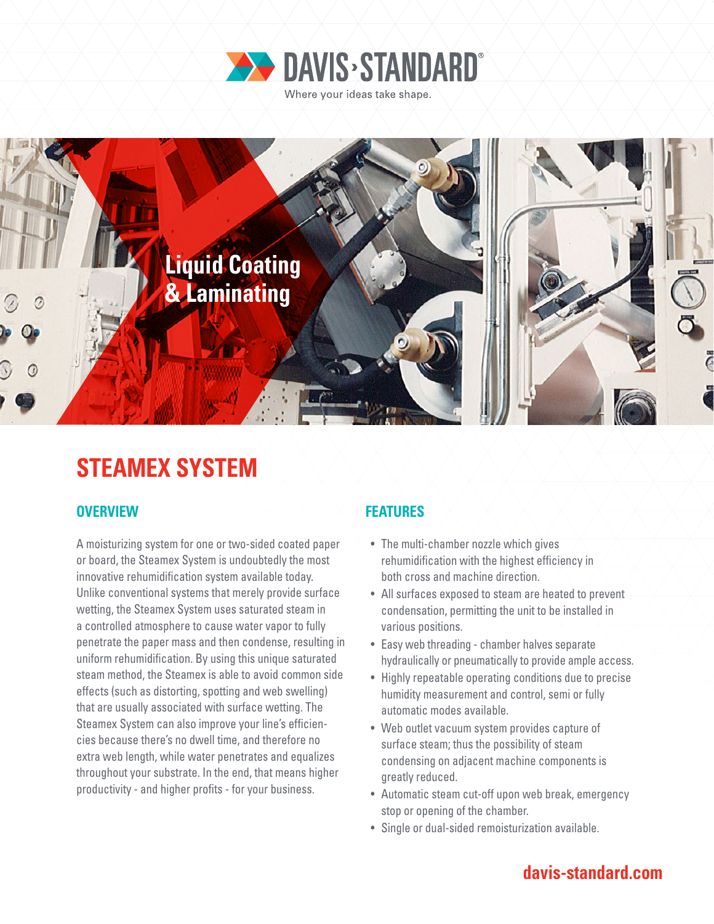



# **STEAMEX SYSTEM**

### **OVERVIEW FEATURES**

A moisturizing system for one or two-sided coated paper or board, the Steamex System is undoubtedly the most innovative rehumidification system available today. Unlike conventional systems that merely provide surface wetting, the Steamex System uses saturated steam in a controlled atmosphere to cause water vapor to fully penetrate the paper mass and then condense, resulting in uniform rehumidification. By using this unique saturated steam method, the Steamex is able to avoid common side effects (such as distorting, spotting and web swelling) that are usually associated with surface wetting. The Steamex System can also improve your line's efficiencies because there's no dwell time, and therefore no extra web length, while water penetrates and equalizes throughout your substrate. In the end, that means higher productivity - and higher profits - for your business.

- The multi-chamber nozzle which gives rehumidification with the highest efficiency in both cross and machine direction.
- All surfaces exposed to steam are heated to prevent condensation, permitting the unit to be installed in various positions.
- Easy web threading chamber halves separate hydraulically or pneumatically to provide ample access.
- Highly repeatable operating conditions due to precise humidity measurement and control, semi or fully automatic modes available.
- Web outlet vacuum system provides capture of surface steam; thus the possibility of steam condensing on adjacent machine components is greatly reduced.
- Automatic steam cut-off upon web break, emergency stop or opening of the chamber.
- Single or dual-sided remoisturization available.

## **davis-standard.com**